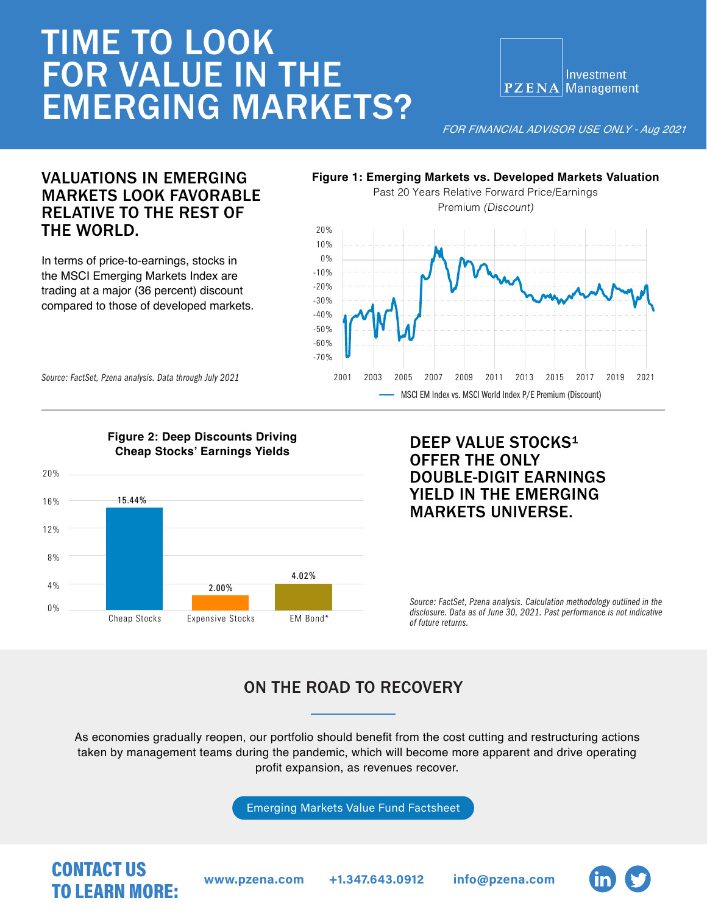# TIME TO LOOK FOR VALUE IN THE EMERGING MARKETS?

Investment PZENA Management

*FOR FINANCIAL ADVISOR USE ONLY - Aug 2021* 

### VALUATIONS IN EMERGING MARKETS LOOK FAVORABLE RELATIVE TO THE REST OF THE WORLD.

In terms of price-to-earnings, stocks in the MSCI Emerging Markets Index are trading at a major (36 percent) discount compared to those of developed markets.

# **Figure 1: Emerging Markets vs. Developed Markets Valuation**



*Source: FactSet, Pzena analysis. Data through July 2021*



#### DEEP VALUE STOCKS<sup>1</sup> OFFER THE ONLY DOUBLE-DIGIT EARNINGS YIELD IN THE EMERGING MARKETS UNIVERSE.

*Source: FactSet, Pzena analysis. Calculation methodology outlined in the disclosure. Data as of June 30, 2021. Past performance is not indicative of future returns.* 

# ON THE ROAD TO RECOVERY

As economies gradually reopen, our portfolio should benefit from the cost cutting and restructuring actions taken by management teams during the pandemic, which will become more apparent and drive operating profit expansion, as revenues recover.

[Emerging Markets Value Fund Factsheet](https://www.pzena.com/ip/investments/emerging-markets-value/)

# CONTACT US TO LEARN MORE: www.pzena.com +1.347.643.0912 info@pzena.com